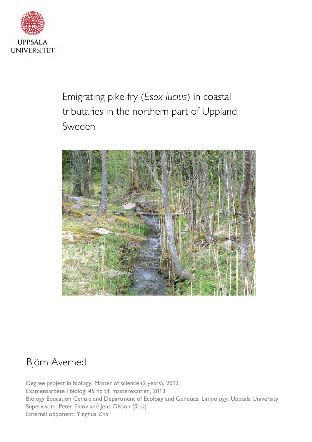

Emigrating pike fry (Esox lucius) in coastal tributaries in the northern part of Uppland, Sweden



## Björn Averhed

Degree project in biology, Master of science (2 years), 2013 Examensarbete i biologi 45 hp till masterexamen, 2013 Biology Education Centre and Department of Ecology and Genetics, Limnology, Uppsala University Supervisors: Peter Eklöv and Jens Olsson (SLU) External opponent: Yinghua Zha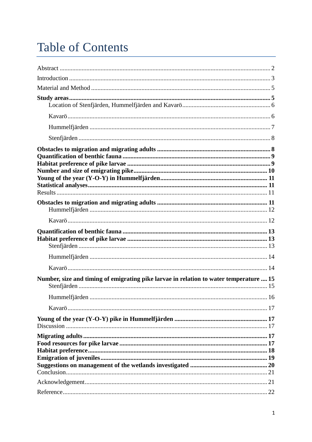# **Table of Contents**

| Number, size and timing of emigrating pike larvae in relation to water temperature  15 |  |
|----------------------------------------------------------------------------------------|--|
|                                                                                        |  |
|                                                                                        |  |
|                                                                                        |  |
|                                                                                        |  |
|                                                                                        |  |
|                                                                                        |  |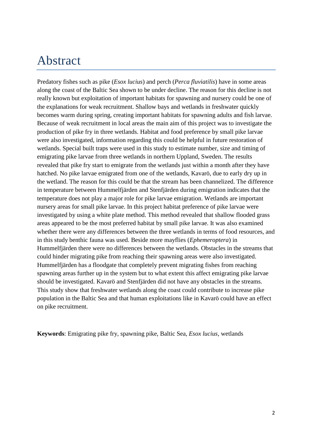## Abstract

Predatory fishes such as pike (*Esox lucius*) and perch (*Perca fluviatilis*) have in some areas along the coast of the Baltic Sea shown to be under decline. The reason for this decline is not really known but exploitation of important habitats for spawning and nursery could be one of the explanations for weak recruitment. Shallow bays and wetlands in freshwater quickly becomes warm during spring, creating important habitats for spawning adults and fish larvae. Because of weak recruitment in local areas the main aim of this project was to investigate the production of pike fry in three wetlands. Habitat and food preference by small pike larvae were also investigated, information regarding this could be helpful in future restoration of wetlands. Special built traps were used in this study to estimate number, size and timing of emigrating pike larvae from three wetlands in northern Uppland, Sweden. The results revealed that pike fry start to emigrate from the wetlands just within a month after they have hatched. No pike larvae emigrated from one of the wetlands, Kavarö, due to early dry up in the wetland. The reason for this could be that the stream has been channelized. The difference in temperature between Hummelfjärden and Stenfjärden during emigration indicates that the temperature does not play a major role for pike larvae emigration. Wetlands are important nursery areas for small pike larvae. In this project habitat preference of pike larvae were investigated by using a white plate method. This method revealed that shallow flooded grass areas appeared to be the most preferred habitat by small pike larvae. It was also examined whether there were any differences between the three wetlands in terms of food resources, and in this study benthic fauna was used. Beside more mayflies (*Ephemeroptera*) in Hummelfjärden there were no differences between the wetlands. Obstacles in the streams that could hinder migrating pike from reaching their spawning areas were also investigated. Hummelfjärden has a floodgate that completely prevent migrating fishes from reaching spawning areas further up in the system but to what extent this affect emigrating pike larvae should be investigated. Kavarö and Stenfjärden did not have any obstacles in the streams. This study show that freshwater wetlands along the coast could contribute to increase pike population in the Baltic Sea and that human exploitations like in Kavarö could have an effect on pike recruitment.

**Keywords**: Emigrating pike fry, spawning pike, Baltic Sea, *Esox lucius*, wetlands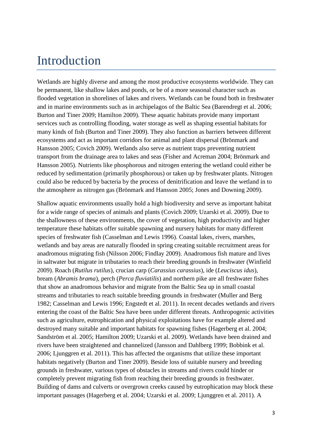## Introduction

Wetlands are highly diverse and among the most productive ecosystems worldwide. They can be permanent, like shallow lakes and ponds, or be of a more seasonal character such as flooded vegetation in shorelines of lakes and rivers. Wetlands can be found both in freshwater and in marine environments such as in archipelagos of the Baltic Sea (Barendregt et al. 2006; Burton and Tiner 2009; Hamilton 2009). These aquatic habitats provide many important services such as controlling flooding, water storage as well as shaping essential habitats for many kinds of fish (Burton and Tiner 2009). They also function as barriers between different ecosystems and act as important corridors for animal and plant dispersal (Brönmark and Hansson 2005; Covich 2009). Wetlands also serve as nutrient traps preventing nutrient transport from the drainage area to lakes and seas (Fisher and Acreman 2004; Brönmark and Hansson 2005). Nutrients like phosphorous and nitrogen entering the wetland could either be reduced by sedimentation (primarily phosphorous) or taken up by freshwater plants. Nitrogen could also be reduced by bacteria by the process of denitrification and leave the wetland in to the atmosphere as nitrogen gas (Brönmark and Hansson 2005; Jones and Downing 2009).

Shallow aquatic environments usually hold a high biodiversity and serve as important habitat for a wide range of species of animals and plants (Covich 2009; Uzarski et al. 2009). Due to the shallowness of these environments, the cover of vegetation, high productivity and higher temperature these habitats offer suitable spawning and nursery habitats for many different species of freshwater fish (Casselman and Lewis 1996). Coastal lakes, rivers, marshes, wetlands and bay areas are naturally flooded in spring creating suitable recruitment areas for anadromous migrating fish (Nilsson 2006; Findlay 2009). Anadromous fish mature and lives in saltwater but migrate in tributaries to reach their breeding grounds in freshwater (Winfield 2009). Roach (*Rutilus rutilus*), crucian carp (*Carassius carassius*), ide (*Leuciscus idus*), bream (*Abramis brama*), perch (*Perca fluviatilis*) and northern pike are all freshwater fishes that show an anadromous behavior and migrate from the Baltic Sea up in small coastal streams and tributaries to reach suitable breeding grounds in freshwater (Muller and Berg 1982; Casselman and Lewis 1996; Engstedt et al. 2011). In recent decades wetlands and rivers entering the coast of the Baltic Sea have been under different threats. Anthropogenic activities such as agriculture, eutrophication and physical exploitations have for example altered and destroyed many suitable and important habitats for spawning fishes (Hagerberg et al. 2004; Sandström et al. 2005; Hamilton 2009; Uzarski et al. 2009). Wetlands have been drained and rivers have been straightened and channelized (Jansson and Dahlberg 1999; Bobbink et al. 2006; Ljunggren et al. 2011). This has affected the organisms that utilize these important habitats negatively (Burton and Tiner 2009). Beside loss of suitable nursery and breeding grounds in freshwater, various types of obstacles in streams and rivers could hinder or completely prevent migrating fish from reaching their breeding grounds in freshwater. Building of dams and culverts or overgrown creeks caused by eutrophication may block these important passages (Hagerberg et al. 2004; Uzarski et al. 2009; Ljunggren et al. 2011). A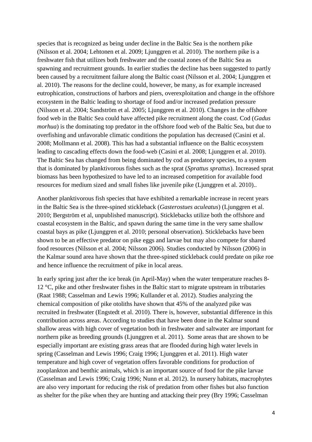species that is recognized as being under decline in the Baltic Sea is the northern pike (Nilsson et al. 2004; Lehtonen et al. 2009; Ljunggren et al. 2010). The northern pike is a freshwater fish that utilizes both freshwater and the coastal zones of the Baltic Sea as spawning and recruitment grounds. In earlier studies the decline has been suggested to partly been caused by a recruitment failure along the Baltic coast (Nilsson et al. 2004; Ljunggren et al. 2010). The reasons for the decline could, however, be many, as for example increased eutrophication, constructions of harbors and piers, overexploitation and change in the offshore ecosystem in the Baltic leading to shortage of food and/or increased predation pressure (Nilsson et al. 2004; Sandström et al*.* 2005; Ljunggren et al. 2010). Changes in the offshore food web in the Baltic Sea could have affected pike recruitment along the coast. Cod (*Gadus morhua*) is the dominating top predator in the offshore food web of the Baltic Sea, but due to overfishing and unfavorable climatic conditions the population has decreased (Casini et al. 2008; Mollmann et al. 2008). This has had a substantial influence on the Baltic ecosystem leading to cascading effects down the food-web (Casini et al. 2008; Ljunggren et al. 2010). The Baltic Sea has changed from being dominated by cod as predatory species, to a system that is dominated by planktivorous fishes such as the sprat (*Sprattus sprattus*). Increased sprat biomass has been hypothesized to have led to an increased competition for available food resources for medium sized and small fishes like juvenile pike (Ljunggren et al. 2010)..

Another planktivorous fish species that have exhibited a remarkable increase in recent years in the Baltic Sea is the three-spined stickleback (*Gasterostues aculeatus*) (Ljunggren et al. 2010; Bergström et al, unpublished manuscript). Sticklebacks utilize both the offshore and coastal ecosystem in the Baltic, and spawn during the same time in the very same shallow coastal bays as pike (Ljunggren et al. 2010; personal observation). Sticklebacks have been shown to be an effective predator on pike eggs and larvae but may also compete for shared food resources (Nilsson et al. 2004; Nilsson 2006). Studies conducted by Nilsson (2006) in the Kalmar sound area have shown that the three-spined stickleback could predate on pike roe and hence influence the recruitment of pike in local areas.

In early spring just after the ice break (in April-May) when the water temperature reaches 8- 12 °C, pike and other freshwater fishes in the Baltic start to migrate upstream in tributaries (Raat 1988; Casselman and Lewis 1996; Kullander et al. 2012). Studies analyzing the chemical composition of pike otoliths have shown that 45% of the analyzed pike was recruited in freshwater (Engstedt et al. 2010). There is, however, substantial difference in this contribution across areas. According to studies that have been done in the Kalmar sound shallow areas with high cover of vegetation both in freshwater and saltwater are important for northern pike as breeding grounds (Ljunggren et al. 2011). Some areas that are shown to be especially important are existing grass areas that are flooded during high water levels in spring (Casselman and Lewis 1996; Craig 1996; Ljunggren et al. 2011). High water temperature and high cover of vegetation offers favorable conditions for production of zooplankton and benthic animals, which is an important source of food for the pike larvae (Casselman and Lewis 1996; Craig 1996; Nunn et al. 2012). In nursery habitats, macrophytes are also very important for reducing the risk of predation from other fishes but also function as shelter for the pike when they are hunting and attacking their prey (Bry 1996; Casselman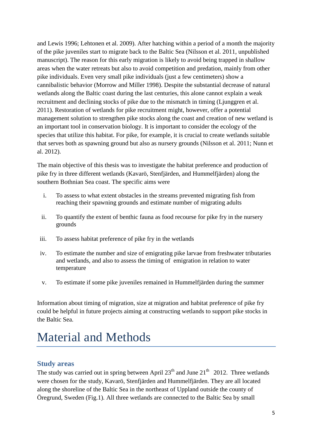and Lewis 1996; Lehtonen et al. 2009). After hatching within a period of a month the majority of the pike juveniles start to migrate back to the Baltic Sea (Nilsson et al. 2011, unpublished manuscript). The reason for this early migration is likely to avoid being trapped in shallow areas when the water retreats but also to avoid competition and predation, mainly from other pike individuals. Even very small pike individuals (just a few centimeters) show a cannibalistic behavior (Morrow and Miller 1998). Despite the substantial decrease of natural wetlands along the Baltic coast during the last centuries, this alone cannot explain a weak recruitment and declining stocks of pike due to the mismatch in timing (Ljunggren et al. 2011). Restoration of wetlands for pike recruitment might, however, offer a potential management solution to strengthen pike stocks along the coast and creation of new wetland is an important tool in conservation biology. It is important to consider the ecology of the species that utilize this habitat. For pike, for example, it is crucial to create wetlands suitable that serves both as spawning ground but also as nursery grounds (Nilsson et al. 2011; Nunn et al. 2012).

The main objective of this thesis was to investigate the habitat preference and production of pike fry in three different wetlands (Kavarö, Stenfjärden, and Hummelfjärden) along the southern Bothnian Sea coast. The specific aims were

- i. To assess to what extent obstacles in the streams prevented migrating fish from reaching their spawning grounds and estimate number of migrating adults
- ii. To quantify the extent of benthic fauna as food recourse for pike fry in the nursery grounds
- iii. To assess habitat preference of pike fry in the wetlands
- iv. To estimate the number and size of emigrating pike larvae from freshwater tributaries and wetlands, and also to assess the timing of emigration in relation to water temperature
- v. To estimate if some pike juveniles remained in Hummelfjärden during the summer

Information about timing of migration, size at migration and habitat preference of pike fry could be helpful in future projects aiming at constructing wetlands to support pike stocks in the Baltic Sea.

# Material and Methods

## **Study areas**

The study was carried out in spring between April  $23<sup>th</sup>$  and June  $21<sup>th</sup>$  2012. Three wetlands were chosen for the study, Kavarö, Stenfjärden and Hummelfjärden. They are all located along the shoreline of the Baltic Sea in the northeast of Uppland outside the county of Öregrund, Sweden (Fig.1)*.* All three wetlands are connected to the Baltic Sea by small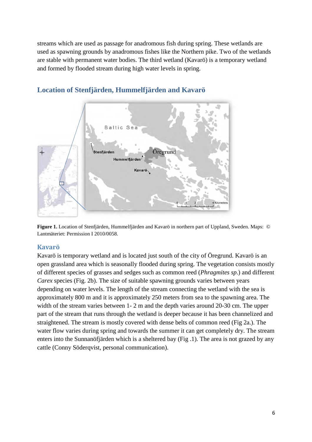streams which are used as passage for anadromous fish during spring. These wetlands are used as spawning grounds by anadromous fishes like the Northern pike. Two of the wetlands are stable with permanent water bodies. The third wetland (Kavarö) is a temporary wetland and formed by flooded stream during high water levels in spring.

![](_page_6_Figure_1.jpeg)

## **Location of Stenfjärden, Hummelfjärden and Kavarö**

**Figure 1.** Location of Stenfjärden, Hummelfjärden and Kavarö in northern part of Uppland, Sweden. Maps: **©** Lantmäteriet: Permission I 2010/0058.

### **Kavarö**

Kavarö is temporary wetland and is located just south of the city of Öregrund. Kavarö is an open grassland area which is seasonally flooded during spring. The vegetation consists mostly of different species of grasses and sedges such as common reed (*Phragmites sp*.) and different *Carex* species (Fig. 2b). The size of suitable spawning grounds varies between years depending on water levels. The length of the stream connecting the wetland with the sea is approximately 800 m and it is approximately 250 meters from sea to the spawning area. The width of the stream varies between 1- 2 m and the depth varies around 20-30 cm. The upper part of the stream that runs through the wetland is deeper because it has been channelized and straightened. The stream is mostly covered with dense belts of common reed (Fig 2a.). The water flow varies during spring and towards the summer it can get completely dry. The stream enters into the Sunnanöfjärden which is a sheltered bay (Fig .1). The area is not grazed by any cattle (Conny Söderqvist, personal communication).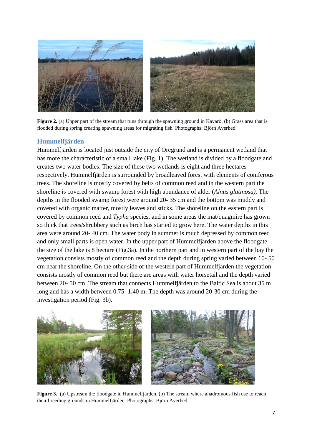![](_page_7_Picture_0.jpeg)

**Figure 2.** (a) Upper part of the stream that runs through the spawning ground in Kavarö. (b) Grass area that is flooded during spring creating spawning areas for migrating fish. Photographs: Björn Averhed

#### **Hummelfjärden**

Hummelfjärden is located just outside the city of Öregrund and is a permanent wetland that has more the characteristic of a small lake (Fig. 1). The wetland is divided by a floodgate and creates two water bodies. The size of these two wetlands is eight and three hectares respectively. Hummelfjärden is surrounded by broadleaved forest with elements of coniferous trees. The shoreline is mostly covered by belts of common reed and in the western part the shoreline is covered with swamp forest with high abundance of alder (*Alnus glutinosa)*. The depths in the flooded swamp forest were around 20- 35 cm and the bottom was muddy and covered with organic matter, mostly leaves and sticks. The shoreline on the eastern part is covered by common reed and *Typha* species, and in some areas the mat/quagmire has grown so thick that trees/shrubbery such as birch has started to grow here. The water depths in this area were around 20- 40 cm. The water body in summer is much depressed by common reed and only small parts is open water. In the upper part of Hummelfjärden above the floodgate the size of the lake is 8 hectare (Fig.3a). In the northern part and in western part of the bay the vegetation consists mostly of common reed and the depth during spring varied between 10- 50 cm near the shoreline. On the other side of the western part of Hummelfjärden the vegetation consists mostly of common reed but there are areas with water horsetail and the depth varied between 20- 50 cm. The stream that connects Hummelfjärden to the Baltic Sea is about 35 m long and has a width between 0.75 -1.40 m. The depth was around 20-30 cm during the investigation period (Fig. 3b).

![](_page_7_Picture_4.jpeg)

**Figure 3.** (a) Upstream the floodgate in Hummelfjärden. (b) The stream where anadromous fish use to reach their breeding grounds in Hummelfjärden. Photographs: Björn Averhed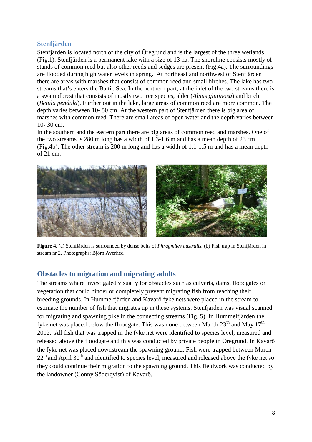#### **Stenfjärden**

Stenfjärden is located north of the city of Öregrund and is the largest of the three wetlands (Fig.1). Stenfjärden is a permanent lake with a size of 13 ha. The shoreline consists mostly of stands of common reed but also other reeds and sedges are present (Fig.4a). The surroundings are flooded during high water levels in spring. At northeast and northwest of Stenfjärden there are areas with marshes that consist of common reed and small birches. The lake has two streams that's enters the Baltic Sea. In the northern part, at the inlet of the two streams there is a swampforest that consists of mostly two tree species, alder (*Alnus glutinosa*) and birch (*Betula pendula*). Further out in the lake, large areas of common reed are more common. The depth varies between 10- 50 cm. At the western part of Stenfjärden there is big area of marshes with common reed. There are small areas of open water and the depth varies between 10- 30 cm.

In the southern and the eastern part there are big areas of common reed and marshes. One of the two streams is 280 m long has a width of 1.3-1.6 m and has a mean depth of 23 cm (Fig.4b). The other stream is 200 m long and has a width of 1.1-1.5 m and has a mean depth of 21 cm.

![](_page_8_Picture_3.jpeg)

**Figure 4.** (a) Stenfjärden is surrounded by dense belts of *Phragmites australis.* (b) Fish trap in Stenfjärden in stream nr 2. Photographs: Björn Averhed

### **Obstacles to migration and migrating adults**

The streams where investigated visually for obstacles such as culverts, dams, floodgates or vegetation that could hinder or completely prevent migrating fish from reaching their breeding grounds. In Hummelfjärden and Kavarö fyke nets were placed in the stream to estimate the number of fish that migrates up in these systems. Stenfjärden was visual scanned for migrating and spawning pike in the connecting streams (Fig. 5). In Hummelfjärden the fyke net was placed below the floodgate. This was done between March  $23<sup>th</sup>$  and May  $17<sup>th</sup>$ 2012. All fish that was trapped in the fyke net were identified to species level, measured and released above the floodgate and this was conducted by private people in Öregrund. In Kavarö the fyke net was placed downstream the spawning ground. Fish were trapped between March  $22<sup>th</sup>$  and April 30<sup>th</sup> and identified to species level, measured and released above the fyke net so they could continue their migration to the spawning ground. This fieldwork was conducted by the landowner (Conny Söderqvist) of Kavarö.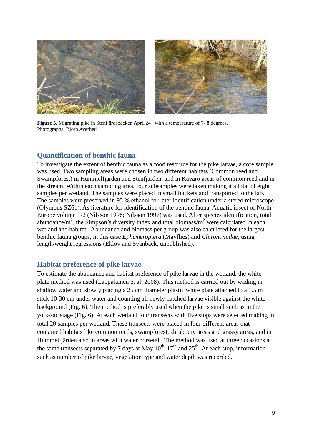![](_page_9_Picture_0.jpeg)

**Figure 5.** Migrating pike in Stenfjärdsbäcken April 24<sup>th</sup> with a temperature of 7-8 degrees. Photographs: Björn Averhed

## **Quantification of benthic fauna**

To investigate the extent of benthic fauna as a food resource for the pike larvae, a core sample was used. Two sampling areas were chosen in two different habitats (Common reed and Swampforest) in Hummelfjärden and Stenfjärden, and in Kavarö areas of common reed and in the stream. Within each sampling area, four subsamples were taken making it a total of eight samples per wetland. The samples were placed in small buckets and transported to the lab. The samples were preserved in 95 % ethanol for later identification under a stereo microscope (Olympus SZ61). As literature for identification of the benthic fauna, Aquatic insect of North Europe volume 1-2 (Nilsson 1996; Nilsson 1997) was used. After species identification, total abundance/m<sup>2</sup>, the Simpson's diversity index and total biomass/m<sup>2</sup> were calculated in each wetland and habitat. Abundance and biomass per group was also calculated for the largest benthic fauna groups, in this case *Ephemeroptera* (Mayflies) and *Chironomidae,* using length/weight regressions (Eklöv and Svanbäck, unpublished).

### **Habitat preference of pike larvae**

To estimate the abundance and habitat preference of pike larvae in the wetland, the white plate method was used (Lappalainen et al. 2008). This method is carried out by wading in shallow water and slowly placing a 25 cm diameter plastic white plate attached to a 1.5 m stick 10-30 cm under water and counting all newly hatched larvae visible against the white background (Fig. 6). The method is preferably used when the pike is small such as in the yolk-sac stage (Fig. 6). At each wetland four transects with five stops were selected making in total 20 samples per wetland. These transects were placed in four different areas that contained habitats like common reeds, swampforest, shrubbery areas and grassy areas, and in Hummelfjärden also in areas with water horsetail. The method was used at three occasions at the same transects separated by 7 days at May  $10^{th}$ ,  $17^{th}$  and  $25^{th}$ . At each stop, information such as number of pike larvae, vegetation type and water depth was recorded.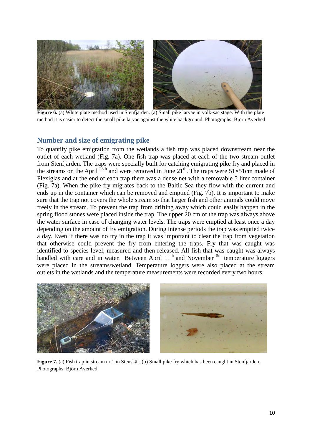![](_page_10_Picture_0.jpeg)

**Figure 6.** (a) White plate method used in Stenfjärden. (a) Small pike larvae in yolk-sac stage. With the plate method it is easier to detect the small pike larvae against the white background. Photographs: Björn Averhed

### **Number and size of emigrating pike**

To quantify pike emigration from the wetlands a fish trap was placed downstream near the outlet of each wetland (Fig. 7a). One fish trap was placed at each of the two stream outlet from Stenfjärden. The traps were specially built for catching emigrating pike fry and placed in the streams on the April  $^{23th}$  and were removed in June 21<sup>th</sup>. The traps were  $51\times51$ cm made of Plexiglas and at the end of each trap there was a dense net with a removable 5 liter container (Fig. 7a). When the pike fry migrates back to the Baltic Sea they flow with the current and ends up in the container which can be removed and emptied (Fig. 7b). It is important to make sure that the trap not covers the whole stream so that larger fish and other animals could move freely in the stream. To prevent the trap from drifting away which could easily happen in the spring flood stones were placed inside the trap. The upper 20 cm of the trap was always above the water surface in case of changing water levels. The traps were emptied at least once a day depending on the amount of fry emigration. During intense periods the trap was emptied twice a day. Even if there was no fry in the trap it was important to clear the trap from vegetation that otherwise could prevent the fry from entering the traps. Fry that was caught was identified to species level, measured and then released. All fish that was caught was always handled with care and in water. Between April  $11<sup>th</sup>$  and November  $<sup>5th</sup>$  temperature loggers</sup> were placed in the streams/wetland. Temperature loggers were also placed at the stream outlets in the wetlands and the temperature measurements were recorded every two hours.

![](_page_10_Picture_4.jpeg)

**Figure 7.** (a) Fish trap in stream nr 1 in Stenskär. (b) Small pike fry which has been caught in Stenfjärden. Photographs: Björn Averhed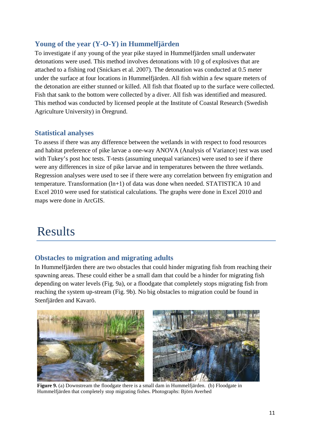## **Young of the year (Y-O-Y) in Hummelfjärden**

To investigate if any young of the year pike stayed in Hummelfjärden small underwater detonations were used. This method involves detonations with 10 g of explosives that are attached to a fishing rod (Snickars et al. 2007). The detonation was conducted at 0.5 meter under the surface at four locations in Hummelfjärden. All fish within a few square meters of the detonation are either stunned or killed. All fish that floated up to the surface were collected. Fish that sank to the bottom were collected by a diver. All fish was identified and measured. This method was conducted by licensed people at the Institute of Coastal Research (Swedish Agriculture University) in Öregrund.

### **Statistical analyses**

To assess if there was any difference between the wetlands in with respect to food resources and habitat preference of pike larvae a one-way ANOVA (Analysis of Variance) test was used with Tukey's post hoc tests. T-tests (assuming unequal variances) were used to see if there were any differences in size of pike larvae and in temperatures between the three wetlands. Regression analyses were used to see if there were any correlation between fry emigration and temperature. Transformation (ln+1) of data was done when needed. STATISTICA 10 and Excel 2010 were used for statistical calculations. The graphs were done in Excel 2010 and maps were done in ArcGIS.

## Results

## **Obstacles to migration and migrating adults**

In Hummelfjärden there are two obstacles that could hinder migrating fish from reaching their spawning areas. These could either be a small dam that could be a hinder for migrating fish depending on water levels (Fig. 9a), or a floodgate that completely stops migrating fish from reaching the system up-stream (Fig. 9b). No big obstacles to migration could be found in Stenfjärden and Kavarö.

![](_page_11_Picture_7.jpeg)

**Figure 9.** (a) Downstream the floodgate there is a small dam in Hummelfjärden. (b) Floodgate in Hummelfjärden that completely stop migrating fishes. Photographs: Björn Averhed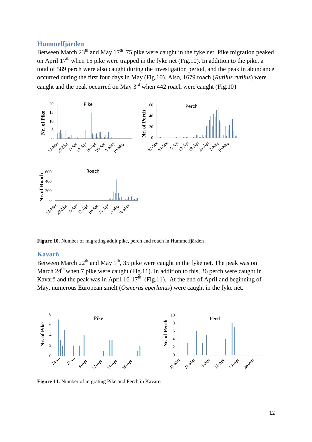#### **Hummelfjärden**

Between March  $23<sup>th</sup>$  and May 17<sup>th</sup> 75 pike were caught in the fyke net. Pike migration peaked on April  $17<sup>th</sup>$  when 15 pike were trapped in the fyke net (Fig.10). In addition to the pike, a total of 589 perch were also caught during the investigation period, and the peak in abundance occurred during the first four days in May (Fig.10). Also, 1679 roach (*Rutilus rutilus*) were caught and the peak occurred on May  $3<sup>rd</sup>$  when 442 roach were caught (Fig.10)

![](_page_12_Figure_2.jpeg)

**Figure 10.** Number of migrating adult pike, perch and roach in Hummelfjärden

#### **Kavarö**

Between March  $22<sup>th</sup>$  and May  $1<sup>th</sup>$ , 35 pike were caught in the fyke net. The peak was on March  $24<sup>th</sup>$  when 7 pike were caught (Fig.11). In addition to this, 36 perch were caught in Kavarö and the peak was in April 16-17<sup>th</sup> (Fig.11). At the end of April and beginning of May, numerous European smelt (*Osmerus eperlanus*) were caught in the fyke net.

![](_page_12_Figure_6.jpeg)

**Figure 11**. Number of migrating Pike and Perch in Kavarö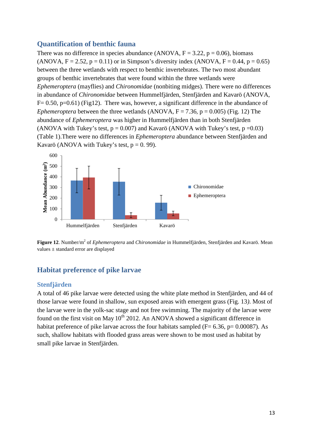#### **Quantification of benthic fauna**

There was no difference in species abundance (ANOVA,  $F = 3.22$ ,  $p = 0.06$ ), biomass (ANOVA,  $F = 2.52$ ,  $p = 0.11$ ) or in Simpson's diversity index (ANOVA,  $F = 0.44$ ,  $p = 0.65$ ) between the three wetlands with respect to benthic invertebrates. The two most abundant groups of benthic invertebrates that were found within the three wetlands were *Ephemeroptera* (mayflies) and *Chironomidae* (nonbiting midges). There were no differences in abundance of *Chironomidae* between Hummelfjärden, Stenfjärden and Kavarö (ANOVA,  $F= 0.50$ , p=0.61) (Fig12). There was, however, a significant difference in the abundance of *Ephemeroptera* between the three wetlands (ANOVA,  $F = 7.36$ ,  $p = 0.005$ ) (Fig. 12) The abundance of *Ephemeroptera* was higher in Hummelfjärden than in both Stenfjärden (ANOVA with Tukey's test,  $p = 0.007$ ) and Kavarö (ANOVA with Tukey's test,  $p = 0.03$ ) (Table 1).There were no differences in *Ephemeroptera* abundance between Stenfjärden and Kavarö (ANOVA with Tukey's test,  $p = 0.99$ ).

![](_page_13_Figure_2.jpeg)

Figure 12. Number/m<sup>2</sup> of *Ephemeroptera* and *Chironomidae* in Hummelfjärden, Stenfjärden and Kavarö. Mean values ± standard error are displayed

## **Habitat preference of pike larvae**

#### **Stenfjärden**

A total of 46 pike larvae were detected using the white plate method in Stenfjärden, and 44 of those larvae were found in shallow, sun exposed areas with emergent grass (Fig. 13*)*. Most of the larvae were in the yolk-sac stage and not free swimming. The majority of the larvae were found on the first visit on May  $10^{th}$  2012. An ANOVA showed a significant difference in habitat preference of pike larvae across the four habitats sampled ( $F= 6.36$ ,  $p= 0.00087$ ). As such, shallow habitats with flooded grass areas were shown to be most used as habitat by small pike larvae in Stenfjärden.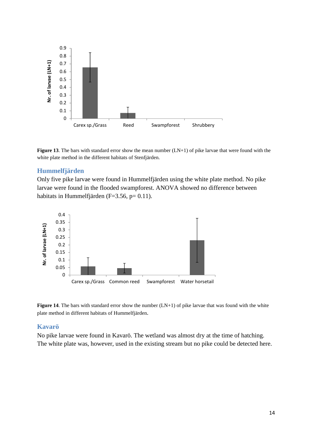![](_page_14_Figure_0.jpeg)

**Figure 13**. The bars with standard error show the mean number (LN+1) of pike larvae that were found with the white plate method in the different habitats of Stenfjärden.

#### **Hummelfjärden**

Only five pike larvae were found in Hummelfjärden using the white plate method. No pike larvae were found in the flooded swampforest. ANOVA showed no difference between habitats in Hummelfjärden (F=3.56, p= 0.11).

![](_page_14_Figure_4.jpeg)

![](_page_14_Figure_5.jpeg)

#### **Kavarö**

No pike larvae were found in Kavarö. The wetland was almost dry at the time of hatching. The white plate was, however, used in the existing stream but no pike could be detected here.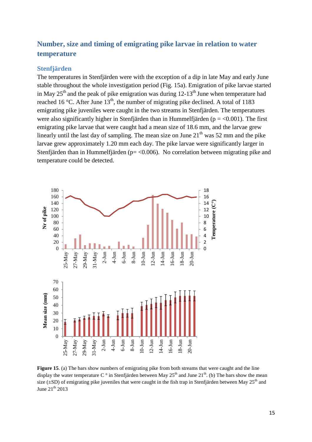## **Number, size and timing of emigrating pike larvae in relation to water temperature**

#### **Stenfjärden**

The temperatures in Stenfjärden were with the exception of a dip in late May and early June stable throughout the whole investigation period (Fig. 15a). Emigration of pike larvae started in May  $25<sup>th</sup>$  and the peak of pike emigration was during  $12-13<sup>th</sup>$  June when temperature had reached 16 °C. After June 13<sup>th</sup>, the number of migrating pike declined. A total of 1183 emigrating pike juveniles were caught in the two streams in Stenfjärden. The temperatures were also significantly higher in Stenfjärden than in Hummelfjärden ( $p = < 0.001$ ). The first emigrating pike larvae that were caught had a mean size of 18.6 mm, and the larvae grew linearly until the last day of sampling. The mean size on June  $21<sup>th</sup>$  was 52 mm and the pike larvae grew approximately 1.20 mm each day. The pike larvae were significantly larger in Stenfjärden than in Hummelfjärden ( $p = < 0.006$ ). No correlation between migrating pike and temperature could be detected.

![](_page_15_Figure_3.jpeg)

**Figure 15**. (a) The bars show numbers of emigrating pike from both streams that were caught and the line display the water temperature C  $\degree$  in Stenfjärden between May 25<sup>th</sup> and June 21<sup>th</sup>. (b) The bars show the mean size ( $\pm$ SD) of emigrating pike juveniles that were caught in the fish trap in Stenfjärden between May 25<sup>th</sup> and June  $21^{th}$  2013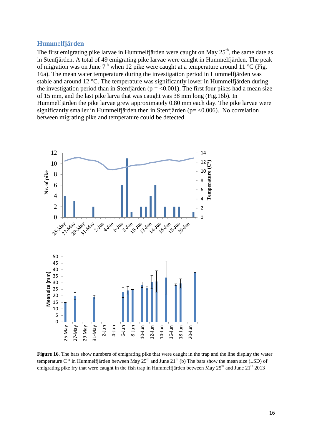#### **Humm**e**lfjärden**

The first emigrating pike larvae in Hummelfjärden were caught on May 25<sup>th</sup>, the same date as in Stenfjärden. A total of 49 emigrating pike larvae were caught in Hummelfjärden. The peak of migration was on June  $7<sup>th</sup>$  when 12 pike were caught at a temperature around 11 °C (Fig. 16a). The mean water temperature during the investigation period in Hummelfjärden was stable and around 12 °C. The temperature was significantly lower in Hummelfjärden during the investigation period than in Stenfjärden ( $p = < 0.001$ ). The first four pikes had a mean size of 15 mm, and the last pike larva that was caught was 38 mm long (Fig.16b). In Hummelfjärden the pike larvae grew approximately 0.80 mm each day. The pike larvae were significantly smaller in Hummelfjärden then in Stenfjärden ( $p = < 0.006$ ). No correlation between migrating pike and temperature could be detected.

![](_page_16_Figure_2.jpeg)

**Figure 16**. The bars show numbers of emigrating pike that were caught in the trap and the line display the water temperature C  $\degree$  in Hummelfjärden between May 25<sup>th</sup> and June 21<sup>th</sup> (b) The bars show the mean size ( $\pm$ SD) of emigrating pike fry that were caught in the fish trap in Hummelfjärden between May  $25<sup>th</sup>$  and June  $21<sup>th</sup>$  2013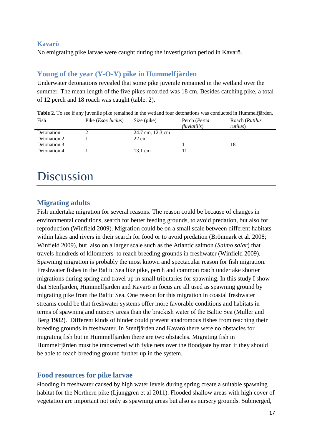#### **Kavarö**

No emigrating pike larvae were caught during the investigation period in Kavarö.

### **Young of the year (Y-O-Y) pike in Hummelfjärden**

Underwater detonations revealed that some pike juvenile remained in the wetland over the summer. The mean length of the five pikes recorded was 18 cm. Besides catching pike, a total of 12 perch and 18 roach was caught (table. 2).

| Table 2. To see if any juvenile pike remained in the wetland four detonations was conducted in Hummelfjärden. |                             |                  |              |                |  |
|---------------------------------------------------------------------------------------------------------------|-----------------------------|------------------|--------------|----------------|--|
| Fish                                                                                                          | Pike ( <i>Esox lucius</i> ) | Size (pike)      | Perch (Perca | Roach (Rutilus |  |
|                                                                                                               |                             |                  | fluviatilis) | rutilus)       |  |
| Detonation 1                                                                                                  |                             | 24.7 cm, 12.3 cm |              |                |  |
| Detonation 2                                                                                                  |                             | $22 \text{ cm}$  |              |                |  |
| Detonation 3                                                                                                  |                             |                  |              | 18             |  |
| Detonation 4                                                                                                  |                             | 13.1 cm          |              |                |  |
|                                                                                                               |                             |                  |              |                |  |

# **Discussion**

## **Migrating adults**

Fish undertake migration for several reasons. The reason could be because of changes in environmental conditions, search for better feeding grounds, to avoid predation, but also for reproduction (Winfield 2009). Migration could be on a small scale between different habitats within lakes and rivers in their search for food or to avoid predation (Brönmark et al. 2008; Winfield 2009), but also on a larger scale such as the Atlantic salmon (*Salmo salar*) that travels hundreds of kilometers to reach breeding grounds in freshwater (Winfield 2009). Spawning migration is probably the most known and spectacular reason for fish migration. Freshwater fishes in the Baltic Sea like pike, perch and common roach undertake shorter migrations during spring and travel up in small tributaries for spawning. In this study I show that Stenfjärden, Hummelfjärden and Kavarö in focus are all used as spawning ground by migrating pike from the Baltic Sea. One reason for this migration in coastal freshwater streams could be that freshwater systems offer more favorable conditions and habitats in terms of spawning and nursery areas than the brackish water of the Baltic Sea (Muller and Berg 1982). Different kinds of hinder could prevent anadromous fishes from reaching their breeding grounds in freshwater. In Stenfjärden and Kavarö there were no obstacles for migrating fish but in Hummelfjärden there are two obstacles. Migrating fish in Hummelfjärden must be transferred with fyke nets over the floodgate by man if they should be able to reach breeding ground further up in the system.

## **Food resources for pike larvae**

Flooding in freshwater caused by high water levels during spring create a suitable spawning habitat for the Northern pike (Ljunggren et al 2011). Flooded shallow areas with high cover of vegetation are important not only as spawning areas but also as nursery grounds. Submerged,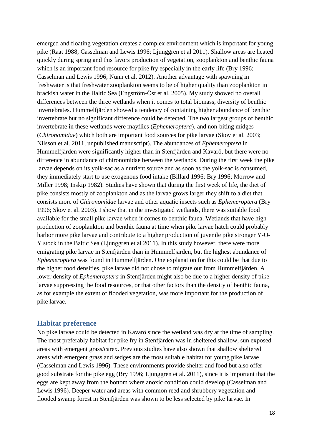emerged and floating vegetation creates a complex environment which is important for young pike (Raat 1988; Casselman and Lewis 1996; Ljunggren et al 2011). Shallow areas are heated quickly during spring and this favors production of vegetation, zooplankton and benthic fauna which is an important food resource for pike fry especially in the early life (Bry 1996; Casselman and Lewis 1996; Nunn et al. 2012). Another advantage with spawning in freshwater is that freshwater zooplankton seems to be of higher quality than zooplankton in brackish water in the Baltic Sea (Engström-Öst et al. 2005). My study showed no overall differences between the three wetlands when it comes to total biomass, diversity of benthic invertebrates. Hummelfjärden showed a tendency of containing higher abundance of benthic invertebrate but no significant difference could be detected. The two largest groups of benthic invertebrate in these wetlands were mayflies (*Ephemeroptera*), and non-biting midges (*Chironomidae*) which both are important food sources for pike larvae (Skov et al. 2003; Nilsson et al. 2011, unpublished manuscript). The abundances of *Ephemeroptera* in Hummelfjärden were significantly higher than in Stenfjärden and Kavarö, but there were no difference in abundance of chironomidae between the wetlands. During the first week the pike larvae depends on its yolk-sac as a nutrient source and as soon as the yolk-sac is consumed, they immediately start to use exogenous food intake (Billard 1996; Bry 1996; Morrow and Miller 1998; Inskip 1982). Studies have shown that during the first week of life, the diet of pike consists mostly of zooplankton and as the larvae grows larger they shift to a diet that consists more of *Chironomidae* larvae and other aquatic insects such as *Ephemeroptera* (Bry 1996; Skov et al. 2003). I show that in the investigated wetlands, there was suitable food available for the small pike larvae when it comes to benthic fauna. Wetlands that have high production of zooplankton and benthic fauna at time when pike larvae hatch could probably harbor more pike larvae and contribute to a higher production of juvenile pike stronger Y-O-Y stock in the Baltic Sea (Ljunggren et al 2011). In this study however, there were more emigrating pike larvae in Stenfjärden than in Hummelfjärden, but the highest abundance of *Ephemeroptera* was found in Hummelfjärden. One explanation for this could be that due to the higher food densities, pike larvae did not chose to migrate out from Hummelfjärden. A lower density of *Ephemeroptera* in Stenfjärden might also be due to a higher density of pike larvae suppressing the food resources, or that other factors than the density of benthic fauna, as for example the extent of flooded vegetation, was more important for the production of pike larvae.

#### **Habitat preference**

No pike larvae could be detected in Kavarö since the wetland was dry at the time of sampling. The most preferably habitat for pike fry in Stenfjärden was in sheltered shallow, sun exposed areas with emergent grass/carex. Previous studies have also shown that shallow sheltered areas with emergent grass and sedges are the most suitable habitat for young pike larvae (Casselman and Lewis 1996). These environments provide shelter and food but also offer good substrate for the pike egg (Bry 1996; Ljunggren et al. 2011), since it is important that the eggs are kept away from the bottom where anoxic condition could develop (Casselman and Lewis 1996). Deeper water and areas with common reed and shrubbery vegetation and flooded swamp forest in Stenfjärden was shown to be less selected by pike larvae. In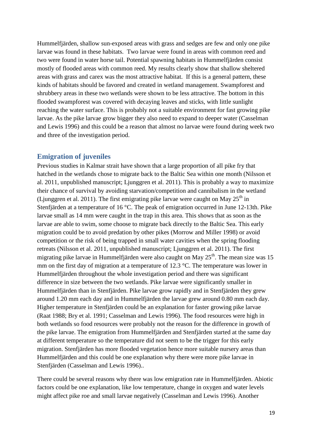Hummelfjärden, shallow sun-exposed areas with grass and sedges are few and only one pike larvae was found in these habitats. Two larvae were found in areas with common reed and two were found in water horse tail. Potential spawning habitats in Hummelfjärden consist mostly of flooded areas with common reed. My results clearly show that shallow sheltered areas with grass and carex was the most attractive habitat. If this is a general pattern, these kinds of habitats should be favored and created in wetland management. Swampforest and shrubbery areas in these two wetlands were shown to be less attractive. The bottom in this flooded swampforest was covered with decaying leaves and sticks, with little sunlight reaching the water surface. This is probably not a suitable environment for fast growing pike larvae. As the pike larvae grow bigger they also need to expand to deeper water (Casselman and Lewis 1996) and this could be a reason that almost no larvae were found during week two and three of the investigation period.

#### **Emigration of juveniles**

Previous studies in Kalmar strait have shown that a large proportion of all pike fry that hatched in the wetlands chose to migrate back to the Baltic Sea within one month (Nilsson et al. 2011, unpublished manuscript; Ljunggren et al. 2011). This is probably a way to maximize their chance of survival by avoiding starvation/competition and cannibalism in the wetland (Ljunggren et al. 2011). The first emigrating pike larvae were caught on May  $25<sup>th</sup>$  in Stenfjärden at a temperature of 16 °C. The peak of emigration occurred in June 12-13th. Pike larvae small as 14 mm were caught in the trap in this area. This shows that as soon as the larvae are able to swim, some choose to migrate back directly to the Baltic Sea. This early migration could be to avoid predation by other pikes (Morrow and Miller 1998) or avoid competition or the risk of being trapped in small water cavities when the spring flooding retreats (Nilsson et al. 2011, unpublished manuscript; Ljunggren et al. 2011). The first migrating pike larvae in Hummelfjärden were also caught on May  $25<sup>th</sup>$ . The mean size was 15 mm on the first day of migration at a temperature of 12.3 °C. The temperature was lower in Hummelfjärden throughout the whole investigation period and there was significant difference in size between the two wetlands. Pike larvae were significantly smaller in Hummelfjärden than in Stenfjärden. Pike larvae grow rapidly and in Stenfjärden they grew around 1.20 mm each day and in Hummelfjärden the larvae grew around 0.80 mm each day. Higher temperature in Stenfjärden could be an explanation for faster growing pike larvae (Raat 1988; Bry et al. 1991; Casselman and Lewis 1996). The food resources were high in both wetlands so food resources were probably not the reason for the difference in growth of the pike larvae. The emigration from Hummelfjärden and Stenfjärden started at the same day at different temperature so the temperature did not seem to be the trigger for this early migration. Stenfjärden has more flooded vegetation hence more suitable nursery areas than Hummelfjärden and this could be one explanation why there were more pike larvae in Stenfjärden (Casselman and Lewis 1996)..

There could be several reasons why there was low emigration rate in Hummelfjärden. Abiotic factors could be one explanation, like low temperature, change in oxygen and water levels might affect pike roe and small larvae negatively (Casselman and Lewis 1996). Another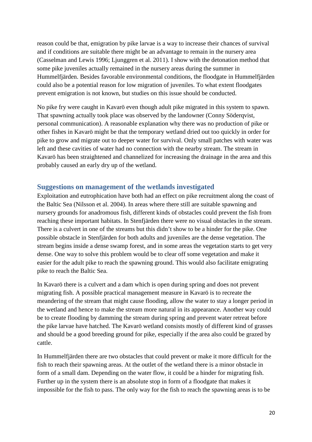reason could be that, emigration by pike larvae is a way to increase their chances of survival and if conditions are suitable there might be an advantage to remain in the nursery area (Casselman and Lewis 1996; Ljunggren et al. 2011). I show with the detonation method that some pike juveniles actually remained in the nursery areas during the summer in Hummelfjärden. Besides favorable environmental conditions, the floodgate in Hummelfjärden could also be a potential reason for low migration of juveniles. To what extent floodgates prevent emigration is not known, but studies on this issue should be conducted.

No pike fry were caught in Kavarö even though adult pike migrated in this system to spawn. That spawning actually took place was observed by the landowner (Conny Söderqvist, personal communication). A reasonable explanation why there was no production of pike or other fishes in Kavarö might be that the temporary wetland dried out too quickly in order for pike to grow and migrate out to deeper water for survival. Only small patches with water was left and these cavities of water had no connection with the nearby stream. The stream in Kavarö has been straightened and channelized for increasing the drainage in the area and this probably caused an early dry up of the wetland.

### **Suggestions on management of the wetlands investigated**

Exploitation and eutrophication have both had an effect on pike recruitment along the coast of the Baltic Sea (Nilsson et al. 2004). In areas where there still are suitable spawning and nursery grounds for anadromous fish, different kinds of obstacles could prevent the fish from reaching these important habitats. In Stenfjärden there were no visual obstacles in the stream. There is a culvert in one of the streams but this didn't show to be a hinder for the pike. One possible obstacle in Stenfjärden for both adults and juveniles are the dense vegetation. The stream begins inside a dense swamp forest, and in some areas the vegetation starts to get very dense. One way to solve this problem would be to clear off some vegetation and make it easier for the adult pike to reach the spawning ground. This would also facilitate emigrating pike to reach the Baltic Sea.

In Kavarö there is a culvert and a dam which is open during spring and does not prevent migrating fish. A possible practical management measure in Kavarö is to recreate the meandering of the stream that might cause flooding, allow the water to stay a longer period in the wetland and hence to make the stream more natural in its appearance. Another way could be to create flooding by damming the stream during spring and prevent water retreat before the pike larvae have hatched. The Kavarö wetland consists mostly of different kind of grasses and should be a good breeding ground for pike, especially if the area also could be grazed by cattle.

In Hummelfjärden there are two obstacles that could prevent or make it more difficult for the fish to reach their spawning areas. At the outlet of the wetland there is a minor obstacle in form of a small dam. Depending on the water flow, it could be a hinder for migrating fish. Further up in the system there is an absolute stop in form of a floodgate that makes it impossible for the fish to pass. The only way for the fish to reach the spawning areas is to be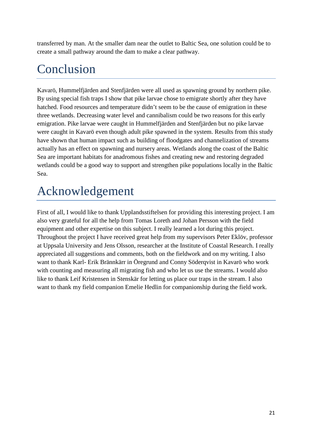transferred by man. At the smaller dam near the outlet to Baltic Sea, one solution could be to create a small pathway around the dam to make a clear pathway.

# Conclusion

Kavarö, Hummelfjärden and Stenfjärden were all used as spawning ground by northern pike. By using special fish traps I show that pike larvae chose to emigrate shortly after they have hatched. Food resources and temperature didn't seem to be the cause of emigration in these three wetlands. Decreasing water level and cannibalism could be two reasons for this early emigration. Pike larvae were caught in Hummelfjärden and Stenfjärden but no pike larvae were caught in Kavarö even though adult pike spawned in the system. Results from this study have shown that human impact such as building of floodgates and channelization of streams actually has an effect on spawning and nursery areas. Wetlands along the coast of the Baltic Sea are important habitats for anadromous fishes and creating new and restoring degraded wetlands could be a good way to support and strengthen pike populations locally in the Baltic Sea.

# Acknowledgement

First of all, I would like to thank Upplandsstiftelsen for providing this interesting project. I am also very grateful for all the help from Tomas Loreth and Johan Persson with the field equipment and other expertise on this subject. I really learned a lot during this project. Throughout the project I have received great help from my supervisors Peter Eklöv, professor at Uppsala University and Jens Olsson, researcher at the Institute of Coastal Research. I really appreciated all suggestions and comments, both on the fieldwork and on my writing. I also want to thank Karl- Erik Brännkärr in Öregrund and Conny Söderqvist in Kavarö who work with counting and measuring all migrating fish and who let us use the streams. I would also like to thank Leif Kristensen in Stenskär for letting us place our traps in the stream. I also want to thank my field companion Emelie Hedlin for companionship during the field work.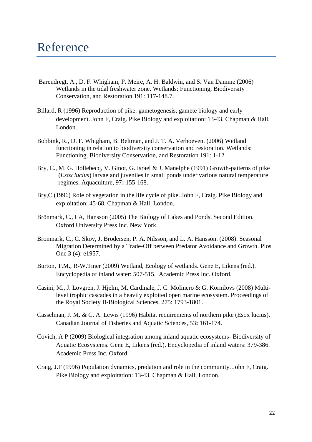## Reference

- Barendregt, A., D. F. Whigham, P. Meire, A. H. Baldwin, and S. Van Damme (2006) Wetlands in the tidal freshwater zone. Wetlands: Functioning, Biodiversity Conservation, and Restoration 191: 117-148.7.
- Billard, R (1996) Reproduction of pike: gametogenesis, gamete biology and early development. John F, Craig. Pike Biology and exploitation: 13-43. Chapman & Hall, London.
- Bobbink, R., D. F. Whigham, B. Beltman, and J. T. A. Verhoeven. (2006) Wetland functioning in relation to biodiversity conservation and restoration. Wetlands: Functioning, Biodiversity Conservation, and Restoration 191: 1-12.
- Bry, C., M. G. Hollebecq, V. Ginot, G. Israel & J. Manelphe (1991) Growth-patterns of pike (*Esox lucius*) larvae and juveniles in small ponds under various natural temperature regimes. Aquaculture, 97**:** 155-168.
- Bry,C (1996) Role of vegetation in the life cycle of pike. John F, Craig. Pike Biology and exploitation: 45-68. Chapman & Hall. London.
- Brönmark, C., LA, Hansson (2005) The Biology of Lakes and Ponds. Second Edition. Oxford University Press Inc. New York.
- Bronmark, C., C. Skov, J. Brodersen, P. A. Nilsson, and L. A. Hansson. (2008). Seasonal Migration Determined by a Trade-Off between Predator Avoidance and Growth. Plos One 3 (4): e1957.
- Burton, T.M., R-W.Tiner (2009) Wetland, Ecology of wetlands. Gene E, Likens (red.). Encyclopedia of inland water: 507-515. Academic Press Inc. Oxford.
- Casini, M., J. Lovgren, J. Hjelm, M. Cardinale, J. C. Molinero & G. Kornilovs (2008) Multilevel trophic cascades in a heavily exploited open marine ecosystem. Proceedings of the Royal Society B-Biological Sciences, 275: 1793-1801.
- Casselman, J. M. & C. A. Lewis (1996) Habitat requirements of northern pike (Esox lucius). Canadian Journal of Fisheries and Aquatic Sciences, 53**:** 161-174.
- Covich, A P (2009) Biological integration among inland aquatic ecosystems- Biodiversity of Aquatic Ecosystems. Gene E, Likens (red.). Encyclopedia of inland waters: 379-386. Academic Press Inc. Oxford.
- Craig, J.F (1996) Population dynamics, predation and role in the community. John F, Craig. Pike Biology and exploitation: 13-43. Chapman & Hall, London.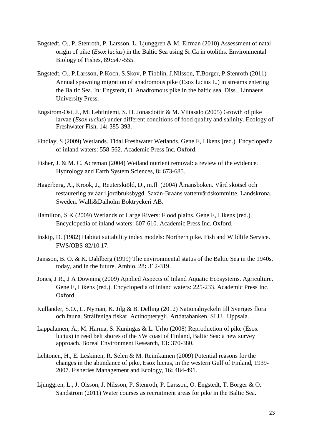- Engstedt, O., P. Stenroth, P. Larsson, L. Ljunggren & M. Elfman (2010) Assessment of natal origin of pike (*Esox lucius*) in the Baltic Sea using Sr:Ca in otoliths. Environmental Biology of Fishes, 89**:**547-555.
- Engstedt, O., P.Larsson, P.Koch, S.Skov, P.Tibblin, J.Nilsson, T.Borger, P.Stenroth (2011) Annual spawning migration of anadromous pike (Esox lucius L.) in streams entering the Baltic Sea. In: Engstedt, O. Anadromous pike in the baltic sea. Diss., Linnaeus University Press.
- Engstrom-Ost, J., M. Lehtiniemi, S. H. Jonasdottir & M. Viitasalo (2005) Growth of pike larvae (*Esox lucius*) under different conditions of food quality and salinity. Ecology of Freshwater Fish, 14**:** 385-393.
- Findlay, S (2009) Wetlands. Tidal Freshwater Wetlands. Gene E, Likens (red.). Encyclopedia of inland waters: 558-562. Academic Press Inc. Oxford.
- Fisher, J. & M. C. Acreman (2004) Wetland nutrient removal: a review of the evidence. Hydrology and Earth System Sciences, 8**:** 673-685.
- Hagerberg, A., Krook, J., Reuterskiöld, D., m.fl (2004) Åmansboken. Vård skötsel och restaurering av åar i jordbruksbygd. Saxån-Braåns vattenvårdskommitte. Landskrona. Sweden. Walli&Dalholm Boktryckeri AB.
- Hamilton, S K (2009) Wetlands of Large Rivers: Flood plains. Gene E, Likens (red.). Encyclopedia of inland waters: 607-610. Academic Press Inc. Oxford.
- Inskip, D. (1982) Habitat suitability index models: Northern pike. Fish and Wildlife Service. FWS/OBS-82/10.17.
- Jansson, B. O. & K. Dahlberg (1999) The environmental status of the Baltic Sea in the 1940s, today, and in the future. Ambio, 28**:** 312-319.
- Jones, J R., J A Downing (2009) Applied Aspects of Inland Aquatic Ecosystems. Agriculture. Gene E, Likens (red.). Encyclopedia of inland waters: 225-233. Academic Press Inc. Oxford.
- Kullander, S.O., L. Nyman, K. Jilg & B. Delling (2012) Nationalnyckeln till Sveriges flora och fauna. Strålfeniga fiskar. Actinopterygii. Artdatabanken, SLU, Uppsala.
- Lappalainen, A., M. Harma, S. Kuningas & L. Urho (2008) Reproduction of pike (Esox lucius) in reed belt shores of the SW coast of Finland, Baltic Sea: a new survey approach. Boreal Environment Research, 13**:** 370-380.
- Lehtonen, H., E. Leskinen, R. Selen & M. Reinikainen (2009) Potential reasons for the changes in the abundance of pike, Esox lucius, in the western Gulf of Finland, 1939- 2007. Fisheries Management and Ecology, 16**:** 484-491.
- Ljunggren, L., J. Olsson, J. Nilsson, P. Stenroth, P. Larsson, O. Engstedt, T. Borger & O. Sandstrom (2011) Water courses as recruitment areas for pike in the Baltic Sea.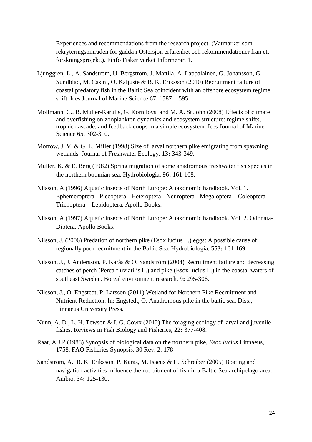Experiences and recommendations from the research project. (Vatmarker som rekryteringsomraden for gadda i Ostersjon erfarenhet och rekommendationer fran ett forskningsprojekt.). Finfo Fiskeriverket Informerar, 1.

- Ljunggren, L., A. Sandstrom, U. Bergstrom, J. Mattila, A. Lappalainen, G. Johansson, G. Sundblad, M. Casini, O. Kaljuste & B. K. Eriksson (2010) Recruitment failure of coastal predatory fish in the Baltic Sea coincident with an offshore ecosystem regime shift. Ices Journal of Marine Science 67: 1587- 1595.
- Mollmann, C., B. Muller-Karulis, G. Kornilovs, and M. A. St John (2008) Effects of climate and overfishing on zooplankton dynamics and ecosystem structure: regime shifts, trophic cascade, and feedback coops in a simple ecosystem. Ices Journal of Marine Science 65: 302-310.
- Morrow, J. V. & G. L. Miller (1998) Size of larval northern pike emigrating from spawning wetlands. Journal of Freshwater Ecology, 13**:** 343-349.
- Muller, K. & E. Berg (1982) Spring migration of some anadromous freshwater fish species in the northern bothnian sea. Hydrobiologia, 96**:** 161-168.
- Nilsson, A (1996) Aquatic insects of North Europe: A taxonomic handbook. Vol. 1. Ephemeroptera - Plecoptera - Heteroptera - Neuroptera - Megaloptera – Coleoptera-Trichoptera – Lepidoptera. Apollo Books.
- Nilsson, A (1997) Aquatic insects of North Europe: A taxonomic handbook. Vol. 2. Odonata-Diptera. Apollo Books.
- Nilsson, J. (2006) Predation of northern pike (Esox lucius L.) eggs: A possible cause of regionally poor recruitment in the Baltic Sea. Hydrobiologia, 553**:** 161-169.
- Nilsson, J., J. Andersson, P. Karås & O. Sandström (2004) Recruitment failure and decreasing catches of perch (Perca fluviatilis L.) and pike (Esox lucius L.) in the coastal waters of southeast Sweden. Boreal environment research, 9**:** 295-306.
- Nilsson, J., O. Engstedt, P. Larsson (2011) Wetland for Northern Pike Recruitment and Nutrient Reduction. In: Engstedt, O. Anadromous pike in the baltic sea. Diss., Linnaeus University Press.
- Nunn, A. D., L. H. Tewson & I. G. Cowx (2012) The foraging ecology of larval and juvenile fishes. Reviews in Fish Biology and Fisheries, 22**:** 377-408.
- Raat, A.J.P (1988) Synopsis of biological data on the northern pike, *Esox lucius* Linnaeus, 1758. FAO Fisheries Synopsis, 30 Rev. 2: 178
- Sandstrom, A., B. K. Eriksson, P. Karas, M. Isaeus & H. Schreiber (2005) Boating and navigation activities influence the recruitment of fish in a Baltic Sea archipelago area. Ambio, 34**:** 125-130.